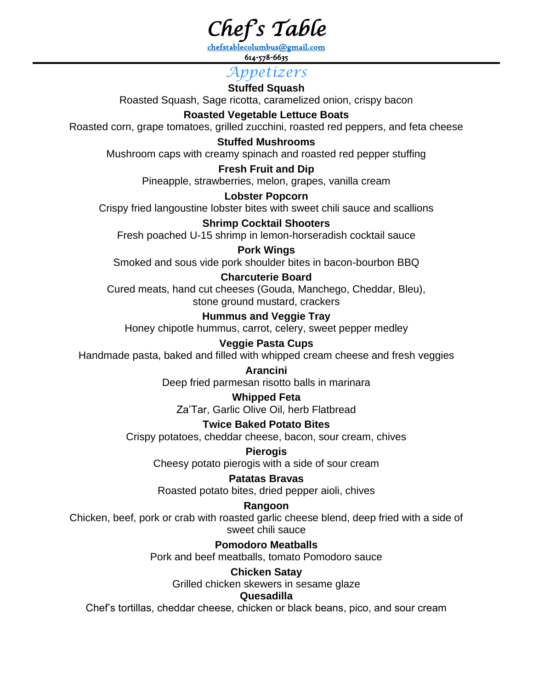*Chef's Table*

[chefstablecolumbus@gmail.com](mailto:chefstablecolumbus@gmail.com) 614-578-6635

## *Appetizers*

**Stuffed Squash** Roasted Squash, Sage ricotta, caramelized onion, crispy bacon

## **Roasted Vegetable Lettuce Boats**

Roasted corn, grape tomatoes, grilled zucchini, roasted red peppers, and feta cheese

#### **Stuffed Mushrooms**

Mushroom caps with creamy spinach and roasted red pepper stuffing

#### **Fresh Fruit and Dip**

Pineapple, strawberries, melon, grapes, vanilla cream

## **Lobster Popcorn**

Crispy fried langoustine lobster bites with sweet chili sauce and scallions

## **Shrimp Cocktail Shooters**

Fresh poached U-15 shrimp in lemon-horseradish cocktail sauce

**Pork Wings** Smoked and sous vide pork shoulder bites in bacon-bourbon BBQ

## **Charcuterie Board**

Cured meats, hand cut cheeses (Gouda, Manchego, Cheddar, Bleu), stone ground mustard, crackers

## **Hummus and Veggie Tray**

Honey chipotle hummus, carrot, celery, sweet pepper medley

## **Veggie Pasta Cups**

Handmade pasta, baked and filled with whipped cream cheese and fresh veggies

#### **Arancini**

Deep fried parmesan risotto balls in marinara

## **Whipped Feta**

Za'Tar, Garlic Olive Oil, herb Flatbread

## **Twice Baked Potato Bites**

Crispy potatoes, cheddar cheese, bacon, sour cream, chives

## **Pierogis**

Cheesy potato pierogis with a side of sour cream

## **Patatas Bravas**

Roasted potato bites, dried pepper aioli, chives

## **Rangoon**

Chicken, beef, pork or crab with roasted garlic cheese blend, deep fried with a side of sweet chili sauce

## **Pomodoro Meatballs**

Pork and beef meatballs, tomato Pomodoro sauce

#### **Chicken Satay**

Grilled chicken skewers in sesame glaze

#### **Quesadilla**

Chef's tortillas, cheddar cheese, chicken or black beans, pico, and sour cream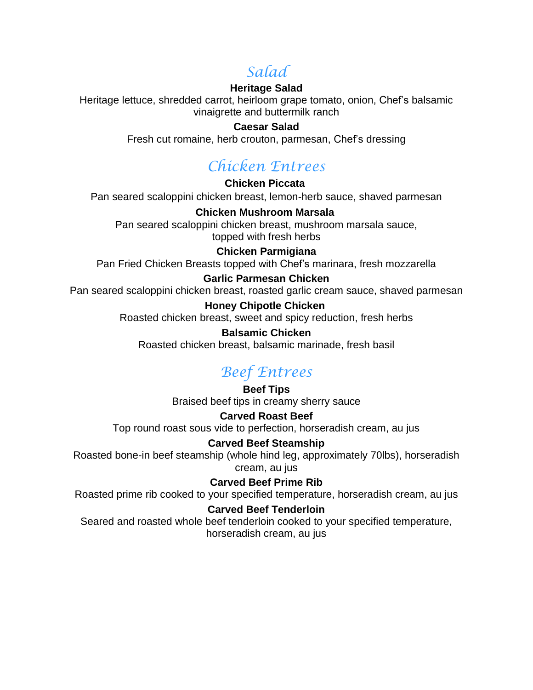## *Salad*

## **Heritage Salad**

Heritage lettuce, shredded carrot, heirloom grape tomato, onion, Chef's balsamic vinaigrette and buttermilk ranch

#### **Caesar Salad**

Fresh cut romaine, herb crouton, parmesan, Chef's dressing

# *Chicken Entrees*

**Chicken Piccata** Pan seared scaloppini chicken breast, lemon-herb sauce, shaved parmesan

**Chicken Mushroom Marsala** Pan seared scaloppini chicken breast, mushroom marsala sauce, topped with fresh herbs

## **Chicken Parmigiana**

Pan Fried Chicken Breasts topped with Chef's marinara, fresh mozzarella

## **Garlic Parmesan Chicken**

Pan seared scaloppini chicken breast, roasted garlic cream sauce, shaved parmesan

## **Honey Chipotle Chicken**

Roasted chicken breast, sweet and spicy reduction, fresh herbs

#### **Balsamic Chicken**

Roasted chicken breast, balsamic marinade, fresh basil

## *Beef Entrees*

**Beef Tips** Braised beef tips in creamy sherry sauce

## **Carved Roast Beef**

Top round roast sous vide to perfection, horseradish cream, au jus

## **Carved Beef Steamship**

Roasted bone-in beef steamship (whole hind leg, approximately 70lbs), horseradish cream, au jus

## **Carved Beef Prime Rib**

Roasted prime rib cooked to your specified temperature, horseradish cream, au jus

## **Carved Beef Tenderloin**

Seared and roasted whole beef tenderloin cooked to your specified temperature, horseradish cream, au jus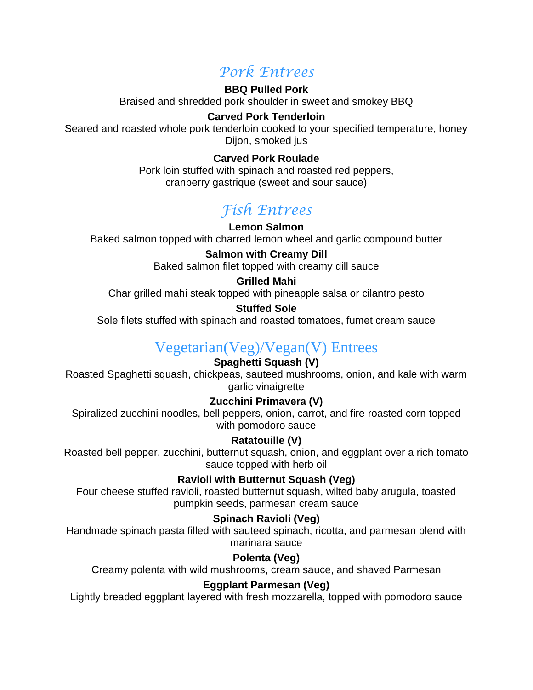## *Pork Entrees*

#### **BBQ Pulled Pork**

Braised and shredded pork shoulder in sweet and smokey BBQ

## **Carved Pork Tenderloin**

Seared and roasted whole pork tenderloin cooked to your specified temperature, honey Dijon, smoked jus

## **Carved Pork Roulade**

Pork loin stuffed with spinach and roasted red peppers, cranberry gastrique (sweet and sour sauce)

# *Fish Entrees*

#### **Lemon Salmon** Baked salmon topped with charred lemon wheel and garlic compound butter

**Salmon with Creamy Dill**

Baked salmon filet topped with creamy dill sauce

#### **Grilled Mahi**

Char grilled mahi steak topped with pineapple salsa or cilantro pesto

## **Stuffed Sole**

Sole filets stuffed with spinach and roasted tomatoes, fumet cream sauce

## Vegetarian(Veg)/Vegan(V) Entrees

## **Spaghetti Squash (V)**

Roasted Spaghetti squash, chickpeas, sauteed mushrooms, onion, and kale with warm garlic vinaigrette

## **Zucchini Primavera (V)**

Spiralized zucchini noodles, bell peppers, onion, carrot, and fire roasted corn topped with pomodoro sauce

## **Ratatouille (V)**

Roasted bell pepper, zucchini, butternut squash, onion, and eggplant over a rich tomato sauce topped with herb oil

## **Ravioli with Butternut Squash (Veg)**

Four cheese stuffed ravioli, roasted butternut squash, wilted baby arugula, toasted pumpkin seeds, parmesan cream sauce

## **Spinach Ravioli (Veg)**

Handmade spinach pasta filled with sauteed spinach, ricotta, and parmesan blend with marinara sauce

## **Polenta (Veg)**

Creamy polenta with wild mushrooms, cream sauce, and shaved Parmesan

## **Eggplant Parmesan (Veg)**

Lightly breaded eggplant layered with fresh mozzarella, topped with pomodoro sauce